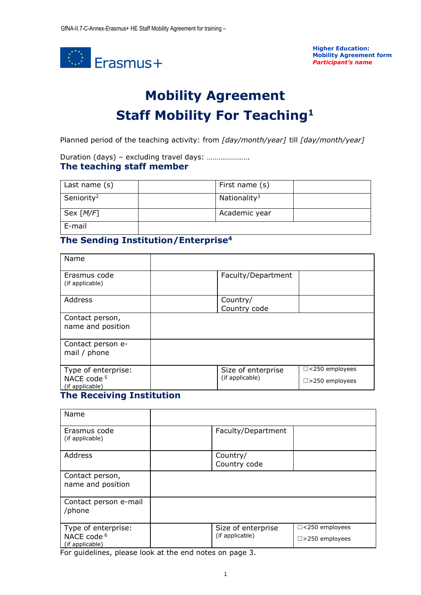

**Higher Education: Mobility Agreement form** *Participant's name*

# **Mobility Agreement Staff Mobility For Teaching<sup>1</sup>**

Planned period of the teaching activity: from *[day/month/year]* till *[day/month/year]*

#### Duration (days) – excluding travel days: …………………. **The teaching staff member**

| Last name $(s)$        | First name (s)           |  |
|------------------------|--------------------------|--|
| Seniority <sup>2</sup> | Nationality <sup>3</sup> |  |
| Sex $[M/F]$            | Academic year            |  |
| E-mail                 |                          |  |

## **The Sending Institution/Enterprise<sup>4</sup>**

| Name                                                                       |                                       |                                                   |
|----------------------------------------------------------------------------|---------------------------------------|---------------------------------------------------|
| Erasmus code<br>(if applicable)                                            | Faculty/Department                    |                                                   |
| Address                                                                    | Country/<br>Country code              |                                                   |
| Contact person,<br>name and position                                       |                                       |                                                   |
| Contact person e-<br>mail / phone                                          |                                       |                                                   |
| Type of enterprise:<br>NACE code <sup>5</sup><br>(if applicable)<br>.<br>. | Size of enterprise<br>(if applicable) | $\Box$ <250 employees<br>$\square$ >250 employees |

#### **The Receiving Institution**

| Name                                                             |                                                                                             |
|------------------------------------------------------------------|---------------------------------------------------------------------------------------------|
| Erasmus code<br>(if applicable)                                  | Faculty/Department                                                                          |
| Address                                                          | Country/<br>Country code                                                                    |
| Contact person,<br>name and position                             |                                                                                             |
| Contact person e-mail<br>/phone                                  |                                                                                             |
| Type of enterprise:<br>NACE code <sup>6</sup><br>(if applicable) | $\Box$ <250 employees<br>Size of enterprise<br>(if applicable)<br>$\square$ > 250 employees |

For guidelines, please look at the end notes on page 3.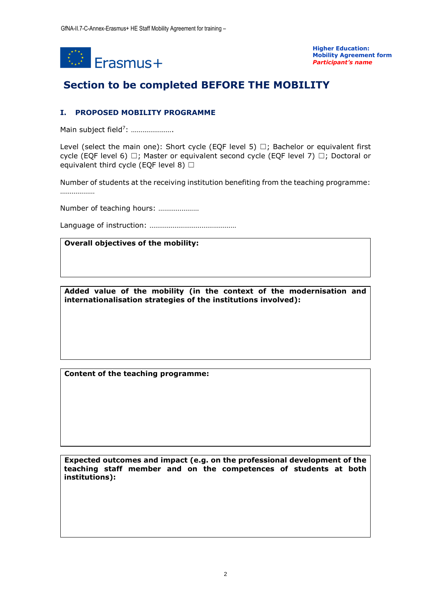

**Higher Education: Mobility Agreement form** *Participant's name*

# **Section to be completed BEFORE THE MOBILITY**

### **I. PROPOSED MOBILITY PROGRAMME**

Main subject field<sup>7</sup>: .....................

Level (select the main one): Short cycle (EQF level 5)  $\Box$ ; Bachelor or equivalent first cycle (EQF level 6)  $\Box$ ; Master or equivalent second cycle (EQF level 7)  $\Box$ ; Doctoral or equivalent third cycle (EQF level 8)  $\Box$ 

Number of students at the receiving institution benefiting from the teaching programme: ………………

Number of teaching hours: …………………

Language of instruction: ………………………………………

**Overall objectives of the mobility:**

**Added value of the mobility (in the context of the modernisation and internationalisation strategies of the institutions involved):**

**Content of the teaching programme:**

**Expected outcomes and impact (e.g. on the professional development of the teaching staff member and on the competences of students at both institutions):**